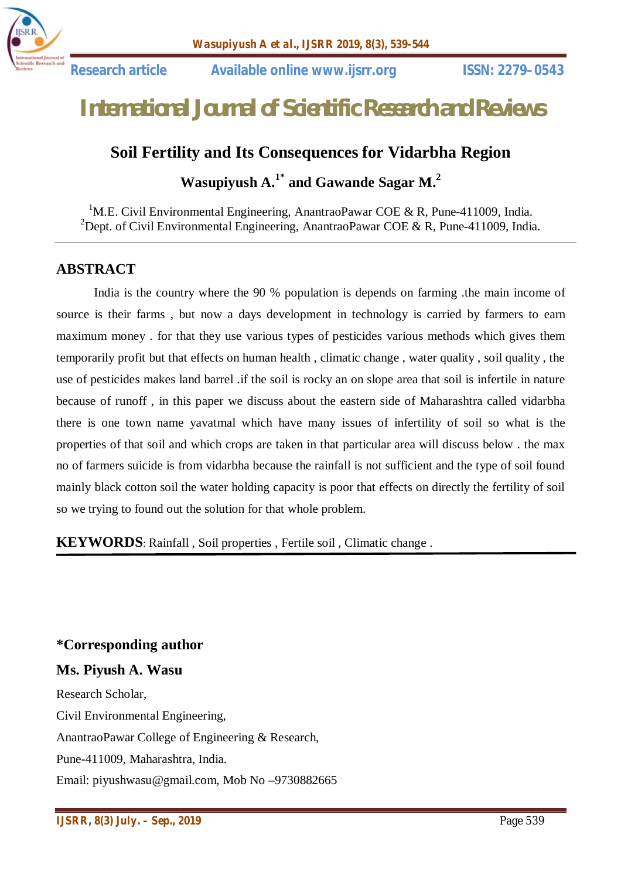

# *International Journal of Scientific Research and Reviews*

# **Soil Fertility and Its Consequences for Vidarbha Region**

**Wasupiyush A. 1\* and Gawande Sagar M.<sup>2</sup>**

<sup>1</sup>M.E. Civil Environmental Engineering, AnantraoPawar COE & R, Pune-411009, India. <sup>2</sup>Dept. of Civil Environmental Engineering, AnantraoPawar COE & R, Pune-411009, India.

### **ABSTRACT**

India is the country where the 90 % population is depends on farming .the main income of source is their farms , but now a days development in technology is carried by farmers to earn maximum money . for that they use various types of pesticides various methods which gives them temporarily profit but that effects on human health , climatic change , water quality , soil quality , the use of pesticides makes land barrel .if the soil is rocky an on slope area that soil is infertile in nature because of runoff , in this paper we discuss about the eastern side of Maharashtra called vidarbha there is one town name yavatmal which have many issues of infertility of soil so what is the properties of that soil and which crops are taken in that particular area will discuss below . the max no of farmers suicide is from vidarbha because the rainfall is not sufficient and the type of soil found mainly black cotton soil the water holding capacity is poor that effects on directly the fertility of soil so we trying to found out the solution for that whole problem.

**KEYWORDS**: Rainfall , Soil properties , Fertile soil , Climatic change .

**\*Corresponding author**

### **Ms. Piyush A. Wasu**

Research Scholar, Civil Environmental Engineering, AnantraoPawar College of Engineering & Research, Pune-411009, Maharashtra, India. Email: piyushwasu@gmail.com, Mob No –9730882665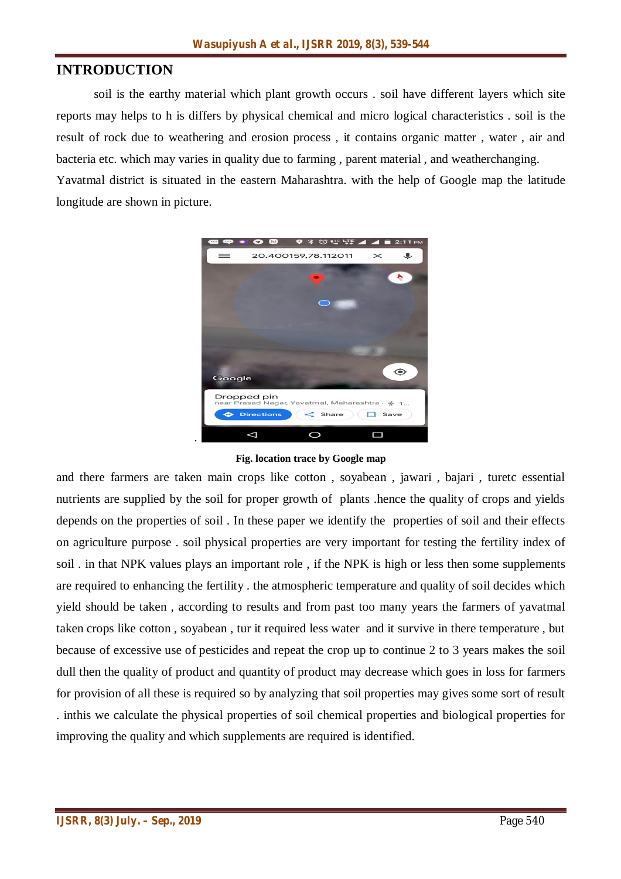# **INTRODUCTION**

soil is the earthy material which plant growth occurs . soil have different layers which site reports may helps to h is differs by physical chemical and micro logical characteristics . soil is the result of rock due to weathering and erosion process , it contains organic matter , water , air and bacteria etc. which may varies in quality due to farming , parent material , and weatherchanging.

Yavatmal district is situated in the eastern Maharashtra. with the help of Google map the latitude longitude are shown in picture.



**Fig. location trace by Google map**

and there farmers are taken main crops like cotton , soyabean , jawari , bajari , turetc essential nutrients are supplied by the soil for proper growth of plants .hence the quality of crops and yields depends on the properties of soil . In these paper we identify the properties of soil and their effects on agriculture purpose . soil physical properties are very important for testing the fertility index of soil . in that NPK values plays an important role , if the NPK is high or less then some supplements are required to enhancing the fertility . the atmospheric temperature and quality of soil decides which yield should be taken , according to results and from past too many years the farmers of yavatmal taken crops like cotton , soyabean , tur it required less water and it survive in there temperature , but because of excessive use of pesticides and repeat the crop up to continue 2 to 3 years makes the soil dull then the quality of product and quantity of product may decrease which goes in loss for farmers for provision of all these is required so by analyzing that soil properties may gives some sort of result . inthis we calculate the physical properties of soil chemical properties and biological properties for improving the quality and which supplements are required is identified.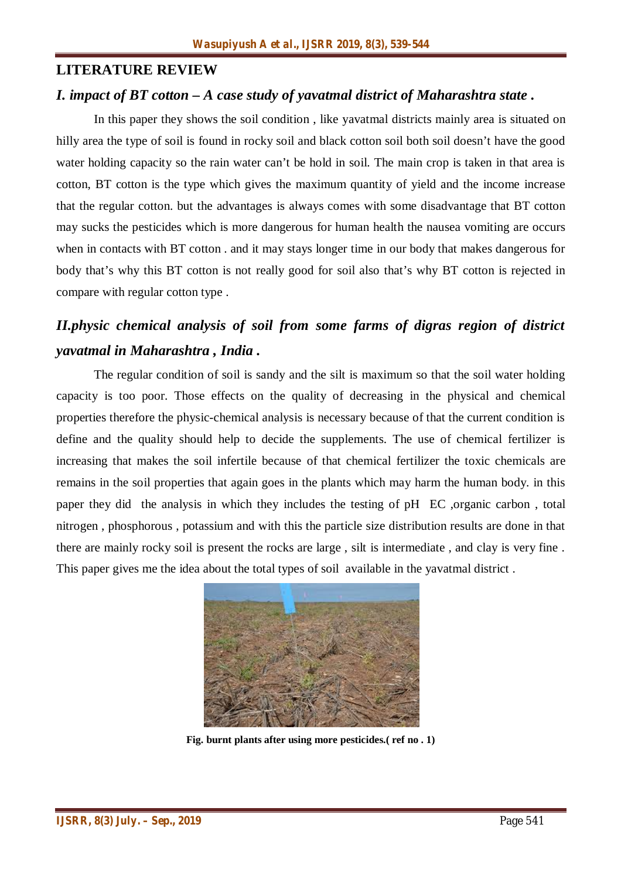### **LITERATURE REVIEW**

#### *I. impact of BT cotton – A case study of yavatmal district of Maharashtra state .*

In this paper they shows the soil condition , like yavatmal districts mainly area is situated on hilly area the type of soil is found in rocky soil and black cotton soil both soil doesn't have the good water holding capacity so the rain water can't be hold in soil. The main crop is taken in that area is cotton, BT cotton is the type which gives the maximum quantity of yield and the income increase that the regular cotton. but the advantages is always comes with some disadvantage that BT cotton may sucks the pesticides which is more dangerous for human health the nausea vomiting are occurs when in contacts with BT cotton . and it may stays longer time in our body that makes dangerous for body that's why this BT cotton is not really good for soil also that's why BT cotton is rejected in compare with regular cotton type .

# *II.physic chemical analysis of soil from some farms of digras region of district yavatmal in Maharashtra , India .*

The regular condition of soil is sandy and the silt is maximum so that the soil water holding capacity is too poor. Those effects on the quality of decreasing in the physical and chemical properties therefore the physic-chemical analysis is necessary because of that the current condition is define and the quality should help to decide the supplements. The use of chemical fertilizer is increasing that makes the soil infertile because of that chemical fertilizer the toxic chemicals are remains in the soil properties that again goes in the plants which may harm the human body. in this paper they did the analysis in which they includes the testing of pH EC ,organic carbon , total nitrogen , phosphorous , potassium and with this the particle size distribution results are done in that there are mainly rocky soil is present the rocks are large , silt is intermediate , and clay is very fine . This paper gives me the idea about the total types of soil available in the yavatmal district .



**Fig. burnt plants after using more pesticides.( ref no . 1)**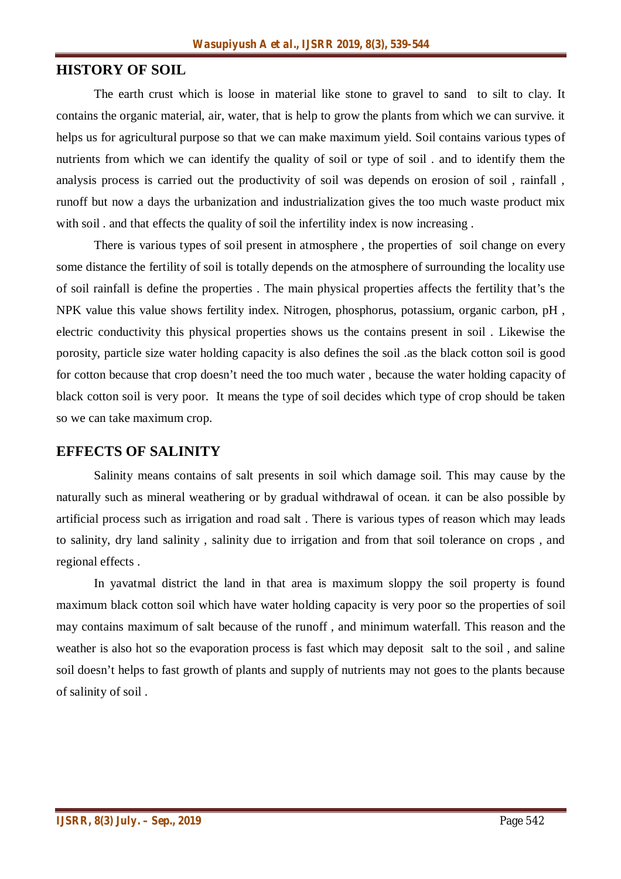### **HISTORY OF SOIL**

The earth crust which is loose in material like stone to gravel to sand to silt to clay. It contains the organic material, air, water, that is help to grow the plants from which we can survive. it helps us for agricultural purpose so that we can make maximum yield. Soil contains various types of nutrients from which we can identify the quality of soil or type of soil . and to identify them the analysis process is carried out the productivity of soil was depends on erosion of soil , rainfall , runoff but now a days the urbanization and industrialization gives the too much waste product mix with soil . and that effects the quality of soil the infertility index is now increasing .

There is various types of soil present in atmosphere , the properties of soil change on every some distance the fertility of soil is totally depends on the atmosphere of surrounding the locality use of soil rainfall is define the properties . The main physical properties affects the fertility that's the NPK value this value shows fertility index. Nitrogen, phosphorus, potassium, organic carbon, pH , electric conductivity this physical properties shows us the contains present in soil . Likewise the porosity, particle size water holding capacity is also defines the soil .as the black cotton soil is good for cotton because that crop doesn't need the too much water , because the water holding capacity of black cotton soil is very poor. It means the type of soil decides which type of crop should be taken so we can take maximum crop.

#### **EFFECTS OF SALINITY**

Salinity means contains of salt presents in soil which damage soil. This may cause by the naturally such as mineral weathering or by gradual withdrawal of ocean. it can be also possible by artificial process such as irrigation and road salt . There is various types of reason which may leads to salinity, dry land salinity , salinity due to irrigation and from that soil tolerance on crops , and regional effects .

In yavatmal district the land in that area is maximum sloppy the soil property is found maximum black cotton soil which have water holding capacity is very poor so the properties of soil may contains maximum of salt because of the runoff , and minimum waterfall. This reason and the weather is also hot so the evaporation process is fast which may deposit salt to the soil , and saline soil doesn't helps to fast growth of plants and supply of nutrients may not goes to the plants because of salinity of soil .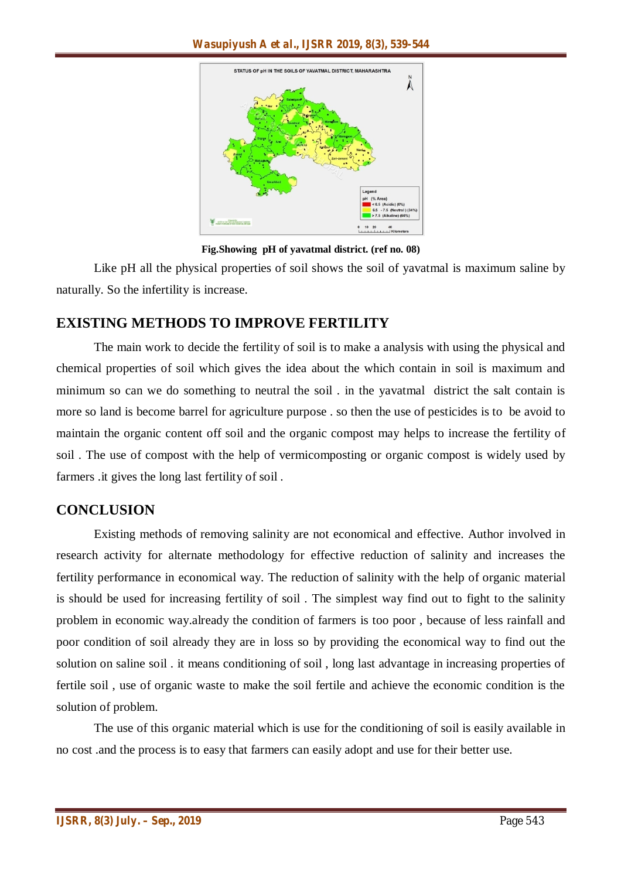

**Fig.Showing pH of yavatmal district. (ref no. 08)**

Like pH all the physical properties of soil shows the soil of yavatmal is maximum saline by naturally. So the infertility is increase.

# **EXISTING METHODS TO IMPROVE FERTILITY**

The main work to decide the fertility of soil is to make a analysis with using the physical and chemical properties of soil which gives the idea about the which contain in soil is maximum and minimum so can we do something to neutral the soil . in the yavatmal district the salt contain is more so land is become barrel for agriculture purpose . so then the use of pesticides is to be avoid to maintain the organic content off soil and the organic compost may helps to increase the fertility of soil . The use of compost with the help of vermicomposting or organic compost is widely used by farmers .it gives the long last fertility of soil .

# **CONCLUSION**

Existing methods of removing salinity are not economical and effective. Author involved in research activity for alternate methodology for effective reduction of salinity and increases the fertility performance in economical way. The reduction of salinity with the help of organic material is should be used for increasing fertility of soil . The simplest way find out to fight to the salinity problem in economic way.already the condition of farmers is too poor , because of less rainfall and poor condition of soil already they are in loss so by providing the economical way to find out the solution on saline soil . it means conditioning of soil , long last advantage in increasing properties of fertile soil , use of organic waste to make the soil fertile and achieve the economic condition is the solution of problem.

The use of this organic material which is use for the conditioning of soil is easily available in no cost .and the process is to easy that farmers can easily adopt and use for their better use.